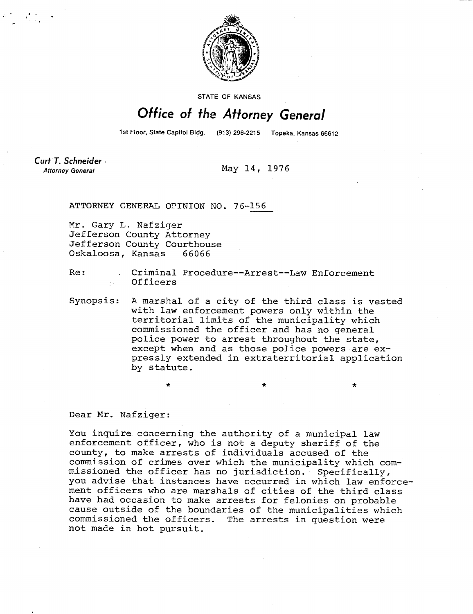

**STATE OF KANSAS** 

## Office of the Attorney General

1st Floor, State Capitol Bldg. (913) 296-2215 Topeka, Kansas 66612

Curt T. Schneider **Attorney General** 

May 14, 1976

ATTORNEY GENERAL OPINION NO. 76-156

 $\star$ 

Mr. Gary L. Nafziger Jefferson County Attorney Jefferson County Courthouse Oskaloosa, Kansas 66066

Re: Criminal Procedure--Arrest--Law Enforcement Officers

Synopsis: A marshal of a city of the third class is vested with law enforcement powers only within the territorial limits of the municipality which commissioned the officer and has no general police power to arrest throughout the state, except when and as those police powers are expressly extended in extraterritorial application by statute.

Dear Mr. Nafziger:

You inquire concerning the authority of a municipal law enforcement officer, who is not a deputy sheriff of the county, to make arrests of individuals accused of the commission of crimes over which the municipality which commissioned the officer has no jurisdiction. Specifically, you advise that instances have occurred in which law enforcement officers who are marshals of cities of the third class have had occasion to make arrests for felonies on probable cause outside of the boundaries of the municipalities which commissioned the officers. The arrests in question were not made in hot pursuit.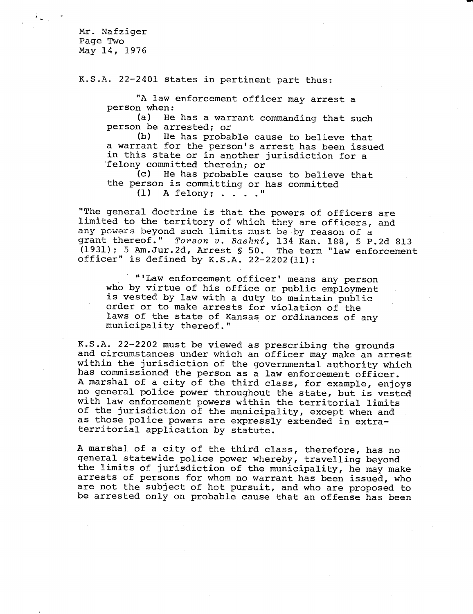Mr. Nafziger Page Two May 14, 1976

K.S.A. 22-2401 states in pertinent part thus:

"A law enforcement officer may arrest a person when:

(a) He has a warrant commanding that such person be arrested; or

(b) He has probable cause to believe that a warrant for the person's arrest has been issued in this state or in another jurisdiction for a 'felony committed therein; or

(c) He has probable cause to believe that the person is committing or has committed

 $(1)$  A felony; . . . . "

"The general doctrine is that the powers of officers are limited to the territory of which they are officers, and any powers beyond such limits must be by reason of a grant thereof." Torson v. Baehni, 134 Kan. 188, 5 P.2d 813 (1931); 5 Am.Jur.2d, Arrest § 50. The term "law enforcement officer" is defined by K.S.A. 22-2202(11):

"'Law enforcement officer' means any person who by virtue of his office or public employment is vested by law with a duty to maintain public order or to make arrests for violation of the laws of the state of Kansas or ordinances of any municipality thereof."

K.S.A. 22-2202 must be viewed as prescribing the grounds and circumstances under which an officer may make an arrest within the jurisdiction of the governmental authority which has commissioned the person as a law enforcement officer. A marshal of a city of the third class, for example, enjoys no general police power throughout the state, but is vested with law enforcement powers within the territorial limits of the jurisdiction of the municipality, except when and as those police powers are expressly extended in extraterritorial application by statute.

A marshal of a city of the third class, therefore, has no general statewide police power whereby, travelling beyond the limits of jurisdiction of the municipality, he may make arrests of persons for whom no warrant has been issued, who are not the subject of hot pursuit, and who are proposed to be arrested only on probable cause that an offense has been